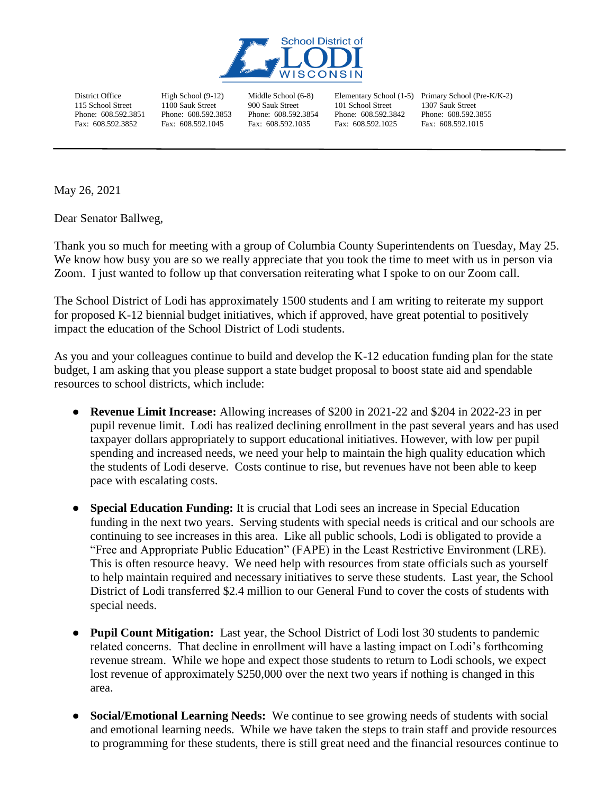

District Office 115 School Street Phone: 608.592.3851 Fax: 608.592.3852

High School (9-12) 1100 Sauk Street Phone: 608.592.3853 Fax: 608.592.1045

Middle School (6-8) 900 Sauk Street Phone: 608.592.3854 Fax: 608.592.1035

101 School Street Phone: 608.592.3842 Fax: 608.592.1025

Elementary School (1-5) Primary School (Pre-K/K-2) 1307 Sauk Street Phone: 608.592.3855 Fax: 608.592.1015

May 26, 2021

Dear Senator Ballweg,

Thank you so much for meeting with a group of Columbia County Superintendents on Tuesday, May 25. We know how busy you are so we really appreciate that you took the time to meet with us in person via Zoom. I just wanted to follow up that conversation reiterating what I spoke to on our Zoom call.

The School District of Lodi has approximately 1500 students and I am writing to reiterate my support for proposed K-12 biennial budget initiatives, which if approved, have great potential to positively impact the education of the School District of Lodi students.

As you and your colleagues continue to build and develop the K-12 education funding plan for the state budget, I am asking that you please support a state budget proposal to boost state aid and spendable resources to school districts, which include:

- **Revenue Limit Increase:** Allowing increases of \$200 in 2021-22 and \$204 in 2022-23 in per pupil revenue limit. Lodi has realized declining enrollment in the past several years and has used taxpayer dollars appropriately to support educational initiatives. However, with low per pupil spending and increased needs, we need your help to maintain the high quality education which the students of Lodi deserve. Costs continue to rise, but revenues have not been able to keep pace with escalating costs.
- **Special Education Funding:** It is crucial that Lodi sees an increase in Special Education funding in the next two years. Serving students with special needs is critical and our schools are continuing to see increases in this area. Like all public schools, Lodi is obligated to provide a "Free and Appropriate Public Education" (FAPE) in the Least Restrictive Environment (LRE). This is often resource heavy. We need help with resources from state officials such as yourself to help maintain required and necessary initiatives to serve these students. Last year, the School District of Lodi transferred \$2.4 million to our General Fund to cover the costs of students with special needs.
- **Pupil Count Mitigation:** Last year, the School District of Lodi lost 30 students to pandemic related concerns. That decline in enrollment will have a lasting impact on Lodi's forthcoming revenue stream. While we hope and expect those students to return to Lodi schools, we expect lost revenue of approximately \$250,000 over the next two years if nothing is changed in this area.
- **Social/Emotional Learning Needs:** We continue to see growing needs of students with social and emotional learning needs. While we have taken the steps to train staff and provide resources to programming for these students, there is still great need and the financial resources continue to